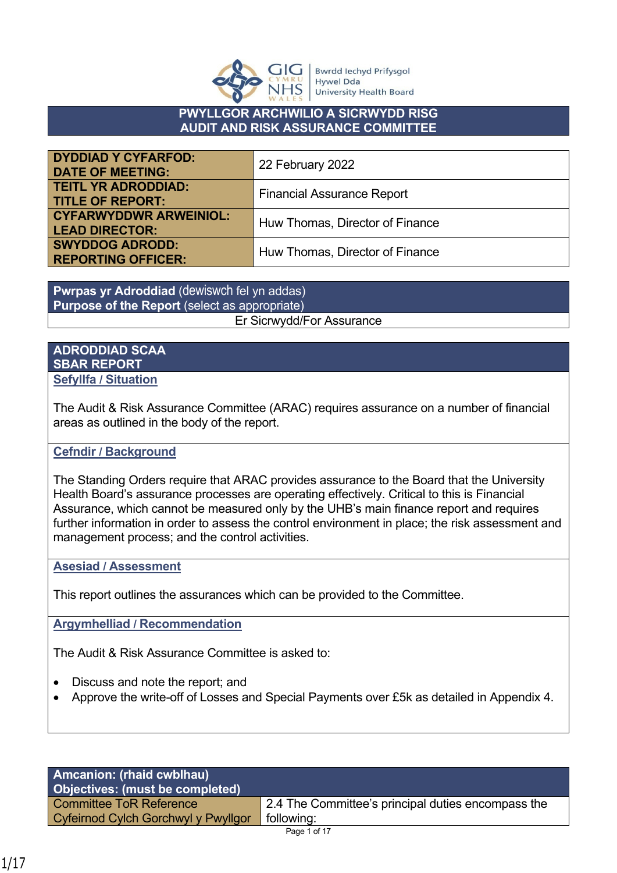

**Bwrdd lechyd Prifysgol Hywel Dda University Health Board** 

#### **PWYLLGOR ARCHWILIO A SICRWYDD RISG AUDIT AND RISK ASSURANCE COMMITTEE**

| <b>DYDDIAD Y CYFARFOD:</b><br><b>DATE OF MEETING:</b>  | 22 February 2022                  |
|--------------------------------------------------------|-----------------------------------|
| <b>TEITL YR ADRODDIAD:</b><br><b>TITLE OF REPORT:</b>  | <b>Financial Assurance Report</b> |
| <b>CYFARWYDDWR ARWEINIOL:</b><br><b>LEAD DIRECTOR:</b> | Huw Thomas, Director of Finance   |
| <b>SWYDDOG ADRODD:</b><br><b>REPORTING OFFICER:</b>    | Huw Thomas, Director of Finance   |

**Pwrpas yr Adroddiad** (dewiswch fel yn addas) **Purpose of the Report** (select as appropriate) Er Sicrwydd/For Assurance

#### **ADRODDIAD SCAA SBAR REPORT Sefyllfa / Situation**

The Audit & Risk Assurance Committee (ARAC) requires assurance on a number of financial areas as outlined in the body of the report.

## **Cefndir / Background**

The Standing Orders require that ARAC provides assurance to the Board that the University Health Board's assurance processes are operating effectively. Critical to this is Financial Assurance, which cannot be measured only by the UHB's main finance report and requires further information in order to assess the control environment in place; the risk assessment and management process; and the control activities.

## **Asesiad / Assessment**

This report outlines the assurances which can be provided to the Committee.

**Argymhelliad / Recommendation**

The Audit & Risk Assurance Committee is asked to:

- Discuss and note the report; and
- Approve the write-off of Losses and Special Payments over £5k as detailed in Appendix 4.

| <b>Amcanion: (rhaid cwblhau)</b><br>Objectives: (must be completed) |                                                    |
|---------------------------------------------------------------------|----------------------------------------------------|
| Committee ToR Reference                                             | 2.4 The Committee's principal duties encompass the |
| Cyfeirnod Cylch Gorchwyl y Pwyllgor                                 | following:                                         |
|                                                                     | Page 1 of 17                                       |

1/17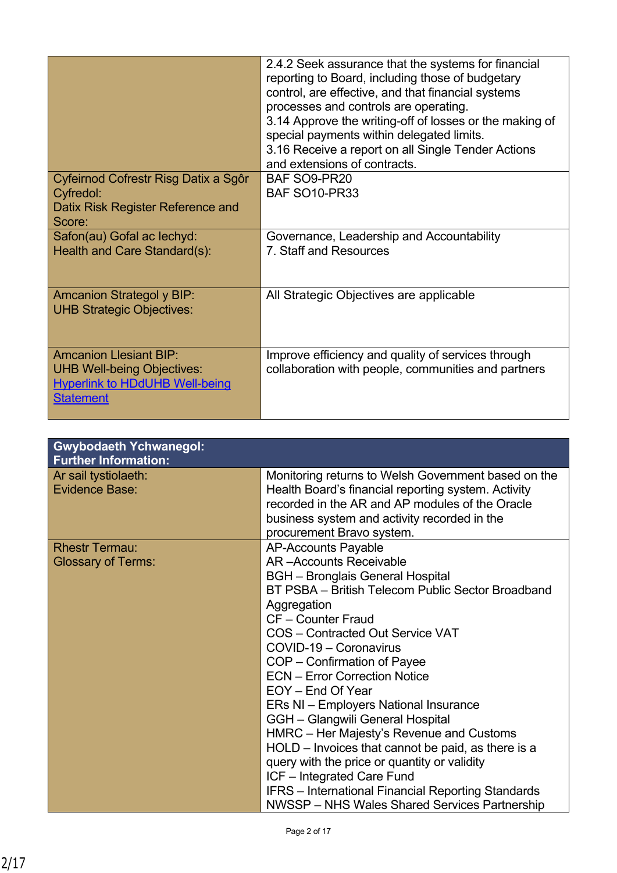|                                                                                                                                 | 2.4.2 Seek assurance that the systems for financial<br>reporting to Board, including those of budgetary<br>control, are effective, and that financial systems<br>processes and controls are operating.<br>3.14 Approve the writing-off of losses or the making of<br>special payments within delegated limits.<br>3.16 Receive a report on all Single Tender Actions<br>and extensions of contracts. |
|---------------------------------------------------------------------------------------------------------------------------------|------------------------------------------------------------------------------------------------------------------------------------------------------------------------------------------------------------------------------------------------------------------------------------------------------------------------------------------------------------------------------------------------------|
| Cyfeirnod Cofrestr Risg Datix a Sgôr<br>Cyfredol:                                                                               | BAF SO9-PR20<br><b>BAF SO10-PR33</b>                                                                                                                                                                                                                                                                                                                                                                 |
| Datix Risk Register Reference and<br>Score:                                                                                     |                                                                                                                                                                                                                                                                                                                                                                                                      |
| Safon(au) Gofal ac lechyd:<br>Health and Care Standard(s):                                                                      | Governance, Leadership and Accountability<br>7. Staff and Resources                                                                                                                                                                                                                                                                                                                                  |
| <b>Amcanion Strategol y BIP:</b><br><b>UHB Strategic Objectives:</b>                                                            | All Strategic Objectives are applicable                                                                                                                                                                                                                                                                                                                                                              |
| <b>Amcanion Llesiant BIP:</b><br><b>UHB Well-being Objectives:</b><br><b>Hyperlink to HDdUHB Well-being</b><br><b>Statement</b> | Improve efficiency and quality of services through<br>collaboration with people, communities and partners                                                                                                                                                                                                                                                                                            |

| <b>Gwybodaeth Ychwanegol:</b><br><b>Further Information:</b> |                                                                                                                                                                                                                                                                                                                                                                                                                                                                                                                                                                                                                                                                                      |
|--------------------------------------------------------------|--------------------------------------------------------------------------------------------------------------------------------------------------------------------------------------------------------------------------------------------------------------------------------------------------------------------------------------------------------------------------------------------------------------------------------------------------------------------------------------------------------------------------------------------------------------------------------------------------------------------------------------------------------------------------------------|
| Ar sail tystiolaeth:<br><b>Evidence Base:</b>                | Monitoring returns to Welsh Government based on the<br>Health Board's financial reporting system. Activity<br>recorded in the AR and AP modules of the Oracle<br>business system and activity recorded in the<br>procurement Bravo system.                                                                                                                                                                                                                                                                                                                                                                                                                                           |
| <b>Rhestr Termau:</b><br><b>Glossary of Terms:</b>           | <b>AP-Accounts Payable</b><br><b>AR-Accounts Receivable</b><br><b>BGH</b> – Bronglais General Hospital<br>BT PSBA - British Telecom Public Sector Broadband<br>Aggregation<br>CF - Counter Fraud<br>COS - Contracted Out Service VAT<br>COVID-19 - Coronavirus<br>COP - Confirmation of Payee<br><b>ECN - Error Correction Notice</b><br>EOY - End Of Year<br>ERs NI - Employers National Insurance<br>GGH - Glangwili General Hospital<br>HMRC - Her Majesty's Revenue and Customs<br>HOLD – Invoices that cannot be paid, as there is a<br>query with the price or quantity or validity<br>ICF - Integrated Care Fund<br><b>IFRS</b> - International Financial Reporting Standards |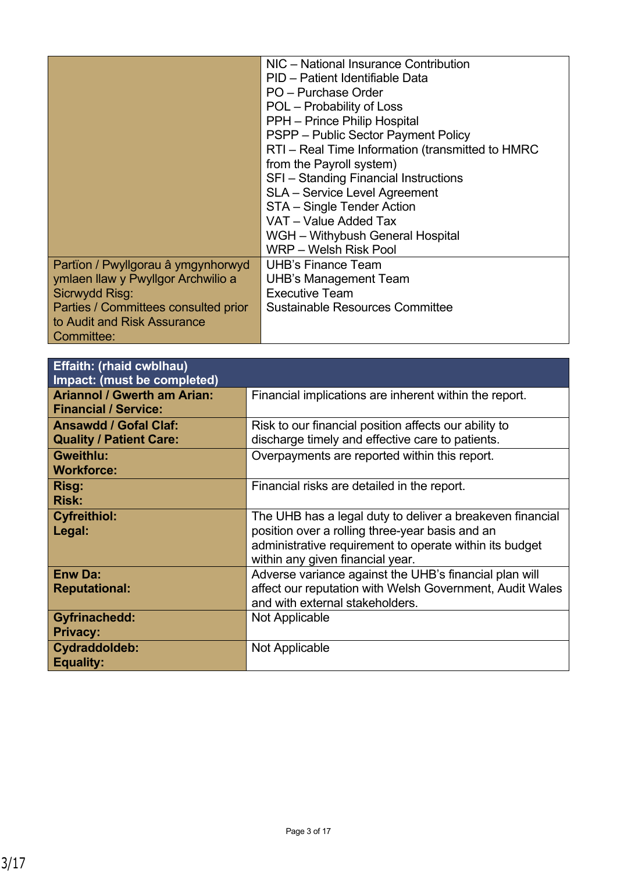|                                      | NIC - National Insurance Contribution            |
|--------------------------------------|--------------------------------------------------|
|                                      | PID - Patient Identifiable Data                  |
|                                      | PO - Purchase Order                              |
|                                      | POL – Probability of Loss                        |
|                                      | PPH - Prince Philip Hospital                     |
|                                      | PSPP – Public Sector Payment Policy              |
|                                      | RTI - Real Time Information (transmitted to HMRC |
|                                      | from the Payroll system)                         |
|                                      | SFI - Standing Financial Instructions            |
|                                      | <b>SLA</b> - Service Level Agreement             |
|                                      | STA - Single Tender Action                       |
|                                      | VAT - Value Added Tax                            |
|                                      | WGH - Withybush General Hospital                 |
|                                      | WRP - Welsh Risk Pool                            |
| Partïon / Pwyllgorau â ymgynhorwyd   | <b>UHB's Finance Team</b>                        |
| ymlaen llaw y Pwyllgor Archwilio a   | <b>UHB's Management Team</b>                     |
| Sicrwydd Risg:                       | <b>Executive Team</b>                            |
| Parties / Committees consulted prior | <b>Sustainable Resources Committee</b>           |
| to Audit and Risk Assurance          |                                                  |
| Committee:                           |                                                  |

| <b>Effaith: (rhaid cwblhau)</b><br>Impact: (must be completed)    |                                                                                                                                                                                                             |
|-------------------------------------------------------------------|-------------------------------------------------------------------------------------------------------------------------------------------------------------------------------------------------------------|
| <b>Ariannol / Gwerth am Arian:</b><br><b>Financial / Service:</b> | Financial implications are inherent within the report.                                                                                                                                                      |
| <b>Ansawdd / Gofal Claf:</b><br><b>Quality / Patient Care:</b>    | Risk to our financial position affects our ability to<br>discharge timely and effective care to patients.                                                                                                   |
| <b>Gweithlu:</b><br><b>Workforce:</b>                             | Overpayments are reported within this report.                                                                                                                                                               |
| Risg:<br><b>Risk:</b>                                             | Financial risks are detailed in the report.                                                                                                                                                                 |
| <b>Cyfreithiol:</b><br>Legal:                                     | The UHB has a legal duty to deliver a breakeven financial<br>position over a rolling three-year basis and an<br>administrative requirement to operate within its budget<br>within any given financial year. |
| <b>Enw Da:</b><br><b>Reputational:</b>                            | Adverse variance against the UHB's financial plan will<br>affect our reputation with Welsh Government, Audit Wales<br>and with external stakeholders.                                                       |
| <b>Gyfrinachedd:</b><br><b>Privacy:</b>                           | Not Applicable                                                                                                                                                                                              |
| Cydraddoldeb:<br><b>Equality:</b>                                 | Not Applicable                                                                                                                                                                                              |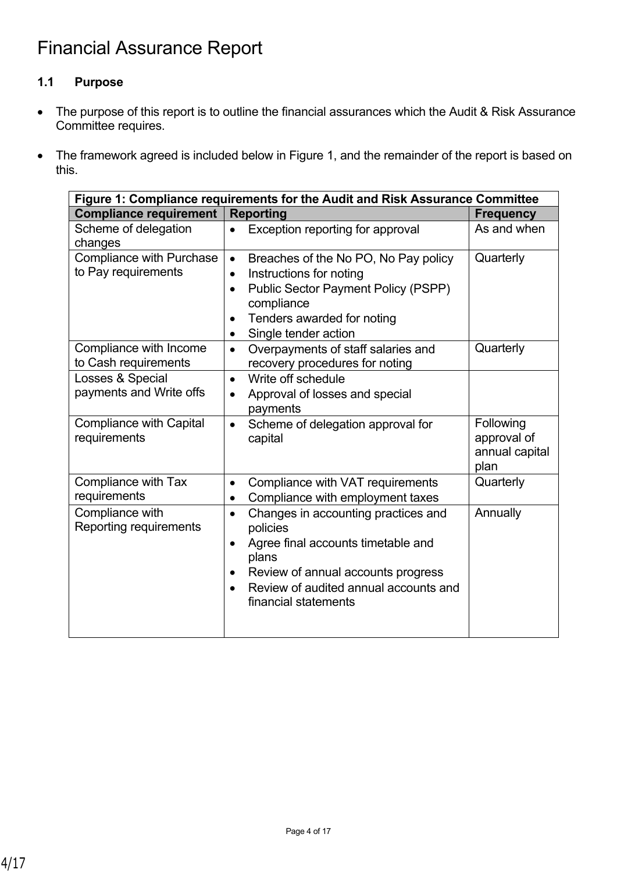# **1.1 Purpose**

- The purpose of this report is to outline the financial assurances which the Audit & Risk Assurance Committee requires.
- The framework agreed is included below in Figure 1, and the remainder of the report is based on this.

| Figure 1: Compliance requirements for the Audit and Risk Assurance Committee |                                                                                                                                                                                                                               |                                                    |  |  |  |  |
|------------------------------------------------------------------------------|-------------------------------------------------------------------------------------------------------------------------------------------------------------------------------------------------------------------------------|----------------------------------------------------|--|--|--|--|
| <b>Compliance requirement</b>                                                | <b>Reporting</b>                                                                                                                                                                                                              | <b>Frequency</b>                                   |  |  |  |  |
| Scheme of delegation<br>changes                                              | Exception reporting for approval<br>$\bullet$                                                                                                                                                                                 | As and when                                        |  |  |  |  |
| <b>Compliance with Purchase</b><br>to Pay requirements                       | Breaches of the No PO, No Pay policy<br>$\bullet$<br>Instructions for noting<br>$\bullet$<br><b>Public Sector Payment Policy (PSPP)</b><br>$\bullet$<br>compliance<br>Tenders awarded for noting<br>Single tender action<br>٠ | Quarterly                                          |  |  |  |  |
| Compliance with Income<br>to Cash requirements                               | Overpayments of staff salaries and<br>$\bullet$<br>recovery procedures for noting                                                                                                                                             | Quarterly                                          |  |  |  |  |
| Losses & Special<br>payments and Write offs                                  | Write off schedule<br>$\bullet$<br>Approval of losses and special<br>$\bullet$<br>payments                                                                                                                                    |                                                    |  |  |  |  |
| <b>Compliance with Capital</b><br>requirements                               | Scheme of delegation approval for<br>$\bullet$<br>capital                                                                                                                                                                     | Following<br>approval of<br>annual capital<br>plan |  |  |  |  |
| Compliance with Tax<br>requirements                                          | Compliance with VAT requirements<br>$\bullet$<br>Compliance with employment taxes<br>$\bullet$                                                                                                                                | Quarterly                                          |  |  |  |  |
| Compliance with<br>Reporting requirements                                    | Changes in accounting practices and<br>$\bullet$<br>policies<br>Agree final accounts timetable and<br>plans<br>Review of annual accounts progress<br>Review of audited annual accounts and<br>financial statements            | Annually                                           |  |  |  |  |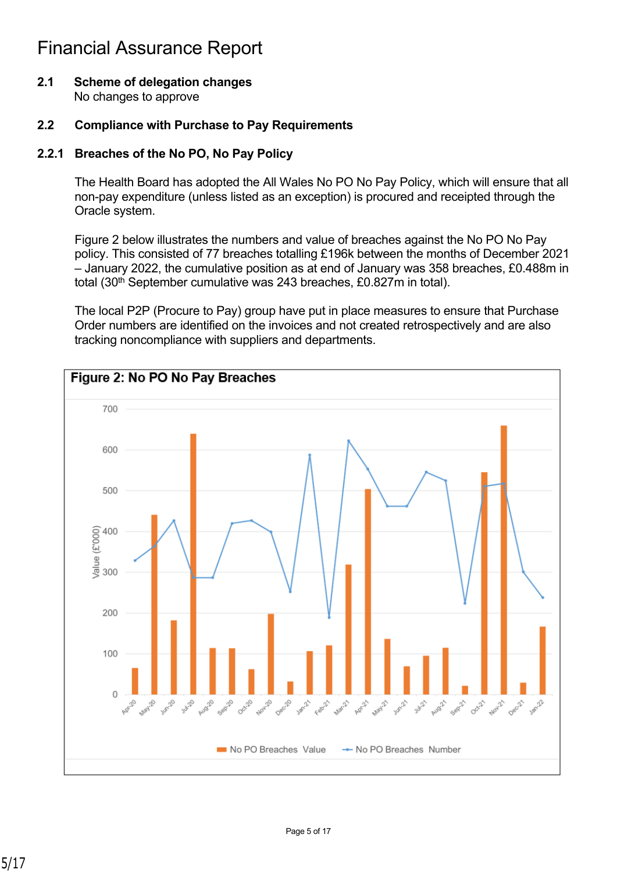**2.1 Scheme of delegation changes** No changes to approve

## **2.2 Compliance with Purchase to Pay Requirements**

## **2.2.1 Breaches of the No PO, No Pay Policy**

The Health Board has adopted the All Wales No PO No Pay Policy, which will ensure that all non-pay expenditure (unless listed as an exception) is procured and receipted through the Oracle system.

Figure 2 below illustrates the numbers and value of breaches against the No PO No Pay policy. This consisted of 77 breaches totalling £196k between the months of December 2021 – January 2022, the cumulative position as at end of January was 358 breaches, £0.488m in total (30<sup>th</sup> September cumulative was 243 breaches, £0.827m in total).

The local P2P (Procure to Pay) group have put in place measures to ensure that Purchase Order numbers are identified on the invoices and not created retrospectively and are also tracking noncompliance with suppliers and departments.

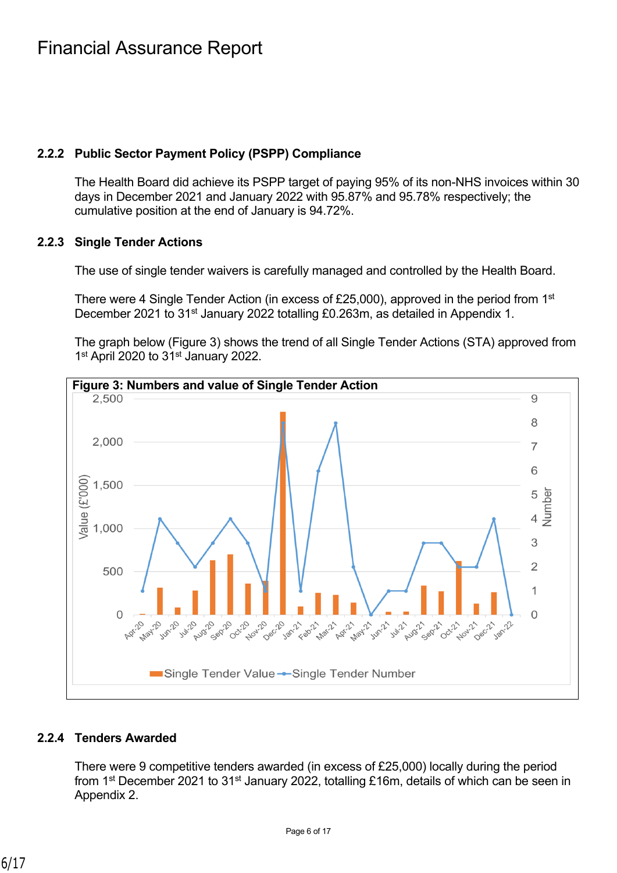# **2.2.2 Public Sector Payment Policy (PSPP) Compliance**

The Health Board did achieve its PSPP target of paying 95% of its non-NHS invoices within 30 days in December 2021 and January 2022 with 95.87% and 95.78% respectively; the cumulative position at the end of January is 94.72%.

## **2.2.3 Single Tender Actions**

The use of single tender waivers is carefully managed and controlled by the Health Board.

There were 4 Single Tender Action (in excess of £25,000), approved in the period from 1<sup>st</sup> December 2021 to 31<sup>st</sup> January 2022 totalling £0.263m, as detailed in Appendix 1.

The graph below (Figure 3) shows the trend of all Single Tender Actions (STA) approved from 1<sup>st</sup> April 2020 to 31<sup>st</sup> January 2022.



## **2.2.4 Tenders Awarded**

There were 9 competitive tenders awarded (in excess of £25,000) locally during the period from 1<sup>st</sup> December 2021 to 31<sup>st</sup> January 2022, totalling £16m, details of which can be seen in Appendix 2.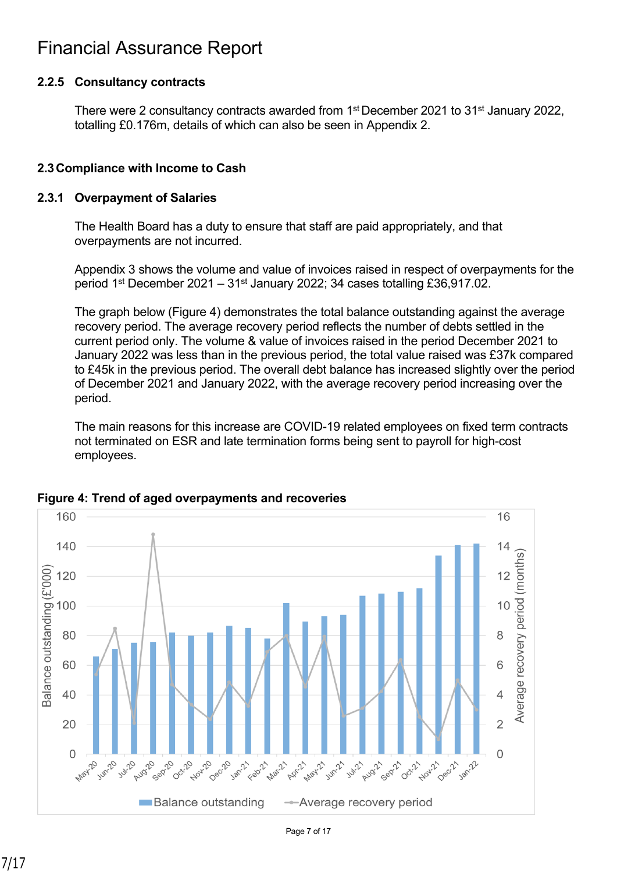# **2.2.5 Consultancy contracts**

There were 2 consultancy contracts awarded from 1<sup>st</sup> December 2021 to 31<sup>st</sup> January 2022, totalling £0.176m, details of which can also be seen in Appendix 2.

# **2.3Compliance with Income to Cash**

#### **2.3.1 Overpayment of Salaries**

The Health Board has a duty to ensure that staff are paid appropriately, and that overpayments are not incurred.

Appendix 3 shows the volume and value of invoices raised in respect of overpayments for the period 1st December 2021 – 31st January 2022; 34 cases totalling £36,917.02.

The graph below (Figure 4) demonstrates the total balance outstanding against the average recovery period. The average recovery period reflects the number of debts settled in the current period only. The volume & value of invoices raised in the period December 2021 to January 2022 was less than in the previous period, the total value raised was £37k compared to £45k in the previous period. The overall debt balance has increased slightly over the period of December 2021 and January 2022, with the average recovery period increasing over the period.

The main reasons for this increase are COVID-19 related employees on fixed term contracts not terminated on ESR and late termination forms being sent to payroll for high-cost employees.



## **Figure 4: Trend of aged overpayments and recoveries**

Page 7 of 17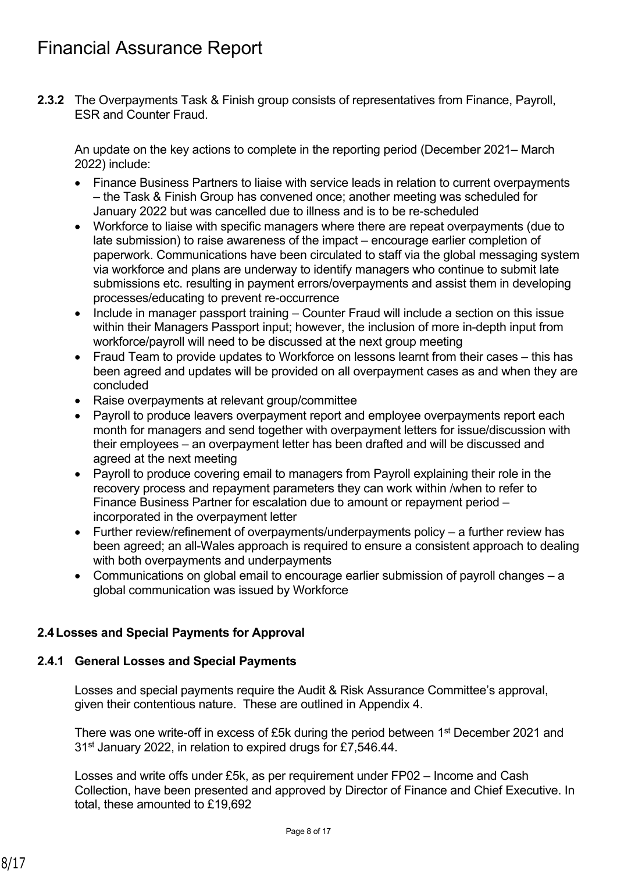**2.3.2** The Overpayments Task & Finish group consists of representatives from Finance, Payroll, ESR and Counter Fraud.

An update on the key actions to complete in the reporting period (December 2021– March 2022) include:

- Finance Business Partners to liaise with service leads in relation to current overpayments – the Task & Finish Group has convened once; another meeting was scheduled for January 2022 but was cancelled due to illness and is to be re-scheduled
- Workforce to liaise with specific managers where there are repeat overpayments (due to late submission) to raise awareness of the impact – encourage earlier completion of paperwork. Communications have been circulated to staff via the global messaging system via workforce and plans are underway to identify managers who continue to submit late submissions etc. resulting in payment errors/overpayments and assist them in developing processes/educating to prevent re-occurrence
- Include in manager passport training Counter Fraud will include a section on this issue within their Managers Passport input; however, the inclusion of more in-depth input from workforce/payroll will need to be discussed at the next group meeting
- Fraud Team to provide updates to Workforce on lessons learnt from their cases this has been agreed and updates will be provided on all overpayment cases as and when they are concluded
- Raise overpayments at relevant group/committee
- Payroll to produce leavers overpayment report and employee overpayments report each month for managers and send together with overpayment letters for issue/discussion with their employees – an overpayment letter has been drafted and will be discussed and agreed at the next meeting
- Payroll to produce covering email to managers from Payroll explaining their role in the recovery process and repayment parameters they can work within /when to refer to Finance Business Partner for escalation due to amount or repayment period – incorporated in the overpayment letter
- Further review/refinement of overpayments/underpayments policy a further review has been agreed; an all-Wales approach is required to ensure a consistent approach to dealing with both overpayments and underpayments
- Communications on global email to encourage earlier submission of payroll changes a global communication was issued by Workforce

# **2.4Losses and Special Payments for Approval**

## **2.4.1 General Losses and Special Payments**

Losses and special payments require the Audit & Risk Assurance Committee's approval, given their contentious nature. These are outlined in Appendix 4.

There was one write-off in excess of £5k during the period between 1st December 2021 and 31st January 2022, in relation to expired drugs for £7,546.44.

Losses and write offs under £5k, as per requirement under FP02 – Income and Cash Collection, have been presented and approved by Director of Finance and Chief Executive. In total, these amounted to £19,692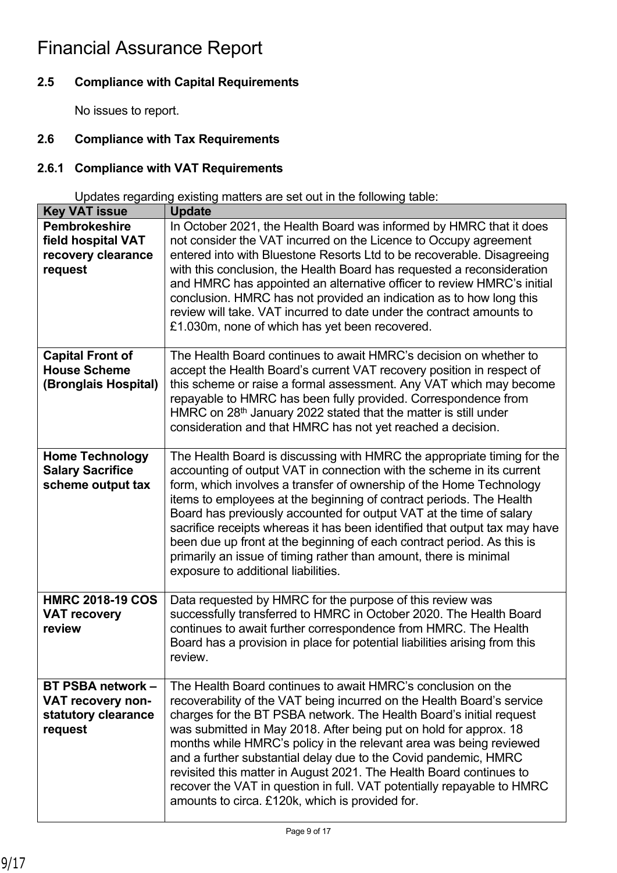# **2.5 Compliance with Capital Requirements**

No issues to report.

# **2.6 Compliance with Tax Requirements**

# **2.6.1 Compliance with VAT Requirements**

Updates regarding existing matters are set out in the following table:

| <b>Key VAT issue</b>                                                            | <b>Update</b>                                                                                                                                                                                                                                                                                                                                                                                                                                                                                                                                                                                                                             |
|---------------------------------------------------------------------------------|-------------------------------------------------------------------------------------------------------------------------------------------------------------------------------------------------------------------------------------------------------------------------------------------------------------------------------------------------------------------------------------------------------------------------------------------------------------------------------------------------------------------------------------------------------------------------------------------------------------------------------------------|
| <b>Pembrokeshire</b><br>field hospital VAT<br>recovery clearance<br>request     | In October 2021, the Health Board was informed by HMRC that it does<br>not consider the VAT incurred on the Licence to Occupy agreement<br>entered into with Bluestone Resorts Ltd to be recoverable. Disagreeing<br>with this conclusion, the Health Board has requested a reconsideration<br>and HMRC has appointed an alternative officer to review HMRC's initial<br>conclusion. HMRC has not provided an indication as to how long this<br>review will take. VAT incurred to date under the contract amounts to<br>£1.030m, none of which has yet been recovered.                                                                    |
| <b>Capital Front of</b><br><b>House Scheme</b><br>(Bronglais Hospital)          | The Health Board continues to await HMRC's decision on whether to<br>accept the Health Board's current VAT recovery position in respect of<br>this scheme or raise a formal assessment. Any VAT which may become<br>repayable to HMRC has been fully provided. Correspondence from<br>HMRC on 28 <sup>th</sup> January 2022 stated that the matter is still under<br>consideration and that HMRC has not yet reached a decision.                                                                                                                                                                                                          |
| <b>Home Technology</b><br><b>Salary Sacrifice</b><br>scheme output tax          | The Health Board is discussing with HMRC the appropriate timing for the<br>accounting of output VAT in connection with the scheme in its current<br>form, which involves a transfer of ownership of the Home Technology<br>items to employees at the beginning of contract periods. The Health<br>Board has previously accounted for output VAT at the time of salary<br>sacrifice receipts whereas it has been identified that output tax may have<br>been due up front at the beginning of each contract period. As this is<br>primarily an issue of timing rather than amount, there is minimal<br>exposure to additional liabilities. |
| <b>HMRC 2018-19 COS</b><br><b>VAT recovery</b><br>review                        | Data requested by HMRC for the purpose of this review was<br>successfully transferred to HMRC in October 2020. The Health Board<br>continues to await further correspondence from HMRC. The Health<br>Board has a provision in place for potential liabilities arising from this<br>review.                                                                                                                                                                                                                                                                                                                                               |
| <b>BT PSBA network -</b><br>VAT recovery non-<br>statutory clearance<br>request | The Health Board continues to await HMRC's conclusion on the<br>recoverability of the VAT being incurred on the Health Board's service<br>charges for the BT PSBA network. The Health Board's initial request<br>was submitted in May 2018. After being put on hold for approx. 18<br>months while HMRC's policy in the relevant area was being reviewed<br>and a further substantial delay due to the Covid pandemic, HMRC<br>revisited this matter in August 2021. The Health Board continues to<br>recover the VAT in question in full. VAT potentially repayable to HMRC<br>amounts to circa. £120k, which is provided for.           |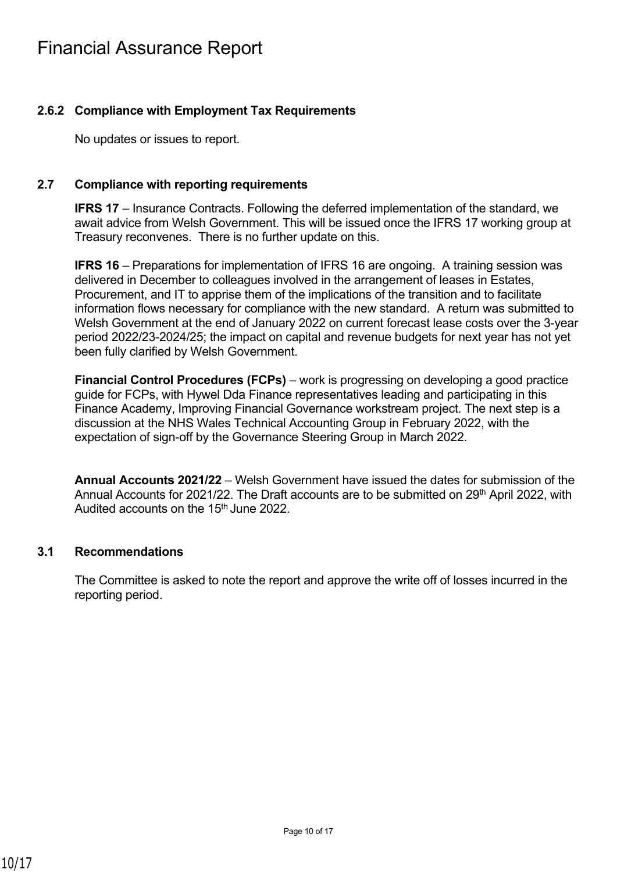# **2.6.2 Compliance with Employment Tax Requirements**

No updates or issues to report.

#### **2.7 Compliance with reporting requirements**

**IFRS 17** – Insurance Contracts. Following the deferred implementation of the standard, we await advice from Welsh Government. This will be issued once the IFRS 17 working group at Treasury reconvenes. There is no further update on this.

**IFRS 16** – Preparations for implementation of IFRS 16 are ongoing. A training session was delivered in December to colleagues involved in the arrangement of leases in Estates, Procurement, and IT to apprise them of the implications of the transition and to facilitate information flows necessary for compliance with the new standard. A return was submitted to Welsh Government at the end of January 2022 on current forecast lease costs over the 3-year period 2022/23-2024/25; the impact on capital and revenue budgets for next year has not yet been fully clarified by Welsh Government.

**Financial Control Procedures (FCPs)** – work is progressing on developing a good practice guide for FCPs, with Hywel Dda Finance representatives leading and participating in this Finance Academy, Improving Financial Governance workstream project. The next step is a discussion at the NHS Wales Technical Accounting Group in February 2022, with the expectation of sign-off by the Governance Steering Group in March 2022.

**Annual Accounts 2021/22** – Welsh Government have issued the dates for submission of the Annual Accounts for 2021/22. The Draft accounts are to be submitted on 29<sup>th</sup> April 2022, with Audited accounts on the 15<sup>th</sup> June 2022.

#### **3.1 Recommendations**

The Committee is asked to note the report and approve the write off of losses incurred in the reporting period.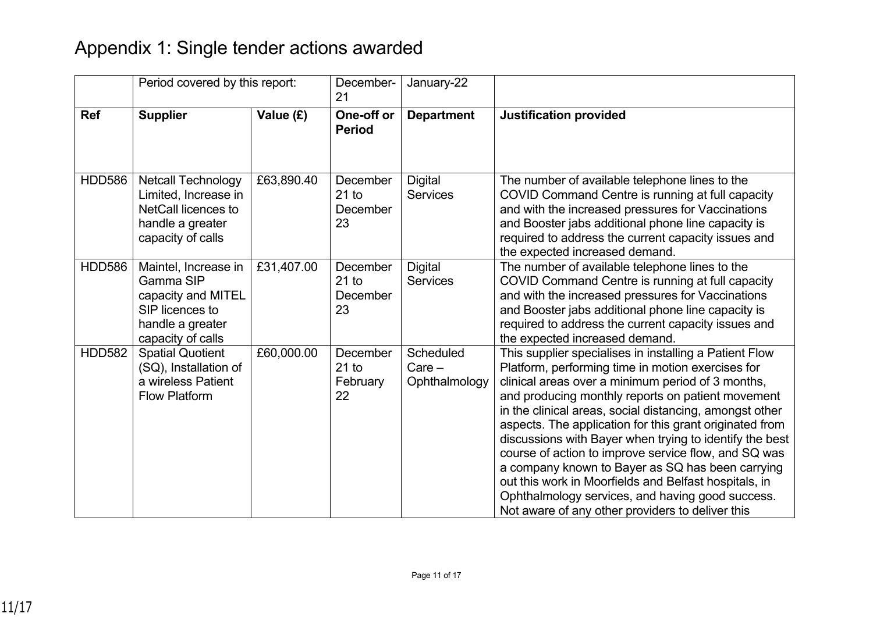# Appendix 1: Single tender actions awarded

|               | Period covered by this report:                                                                                           |            |                                       |                                        | December-<br>21                                                                                                                                                                                                                                                                                                                                                                                                                                                                                                                                                                                                                                                                     | January-22 |  |
|---------------|--------------------------------------------------------------------------------------------------------------------------|------------|---------------------------------------|----------------------------------------|-------------------------------------------------------------------------------------------------------------------------------------------------------------------------------------------------------------------------------------------------------------------------------------------------------------------------------------------------------------------------------------------------------------------------------------------------------------------------------------------------------------------------------------------------------------------------------------------------------------------------------------------------------------------------------------|------------|--|
| <b>Ref</b>    | <b>Supplier</b>                                                                                                          | Value (£)  | One-off or<br><b>Period</b>           | <b>Department</b>                      | <b>Justification provided</b>                                                                                                                                                                                                                                                                                                                                                                                                                                                                                                                                                                                                                                                       |            |  |
| <b>HDD586</b> | <b>Netcall Technology</b><br>Limited, Increase in<br><b>NetCall licences to</b><br>handle a greater<br>capacity of calls | £63,890.40 | December<br>$21$ to<br>December<br>23 | <b>Digital</b><br><b>Services</b>      | The number of available telephone lines to the<br>COVID Command Centre is running at full capacity<br>and with the increased pressures for Vaccinations<br>and Booster jabs additional phone line capacity is<br>required to address the current capacity issues and<br>the expected increased demand.                                                                                                                                                                                                                                                                                                                                                                              |            |  |
| <b>HDD586</b> | Maintel, Increase in<br>Gamma SIP<br>capacity and MITEL<br>SIP licences to<br>handle a greater<br>capacity of calls      | £31,407.00 | December<br>$21$ to<br>December<br>23 | <b>Digital</b><br><b>Services</b>      | The number of available telephone lines to the<br>COVID Command Centre is running at full capacity<br>and with the increased pressures for Vaccinations<br>and Booster jabs additional phone line capacity is<br>required to address the current capacity issues and<br>the expected increased demand.                                                                                                                                                                                                                                                                                                                                                                              |            |  |
| <b>HDD582</b> | <b>Spatial Quotient</b><br>(SQ), Installation of<br>a wireless Patient<br><b>Flow Platform</b>                           | £60,000.00 | December<br>$21$ to<br>February<br>22 | Scheduled<br>$Care -$<br>Ophthalmology | This supplier specialises in installing a Patient Flow<br>Platform, performing time in motion exercises for<br>clinical areas over a minimum period of 3 months,<br>and producing monthly reports on patient movement<br>in the clinical areas, social distancing, amongst other<br>aspects. The application for this grant originated from<br>discussions with Bayer when trying to identify the best<br>course of action to improve service flow, and SQ was<br>a company known to Bayer as SQ has been carrying<br>out this work in Moorfields and Belfast hospitals, in<br>Ophthalmology services, and having good success.<br>Not aware of any other providers to deliver this |            |  |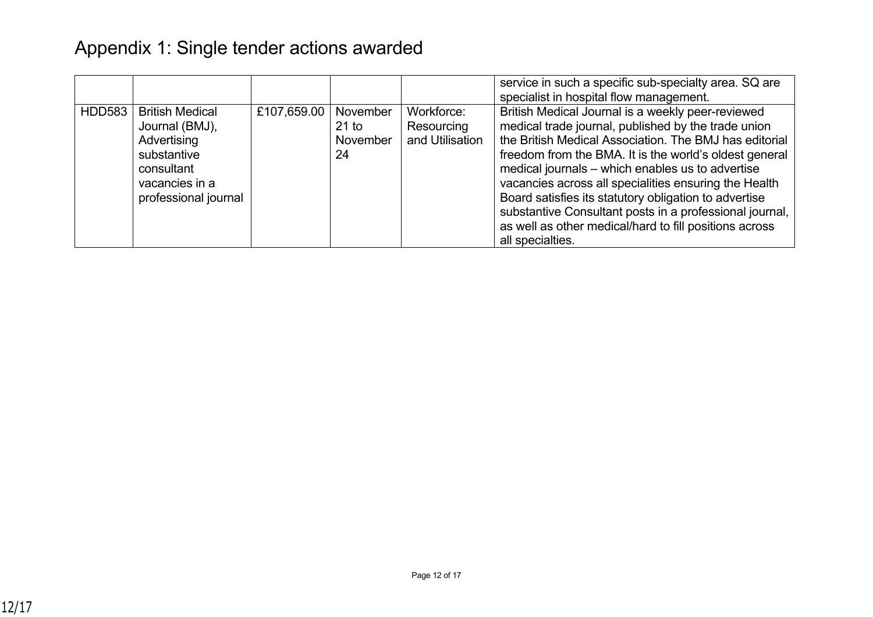|               |                                                                                                                                |             |                                       |                                             | service in such a specific sub-specialty area. SQ are<br>specialist in hospital flow management.                                                                                                                                                                                                                                                                                                                                                                                                                                            |
|---------------|--------------------------------------------------------------------------------------------------------------------------------|-------------|---------------------------------------|---------------------------------------------|---------------------------------------------------------------------------------------------------------------------------------------------------------------------------------------------------------------------------------------------------------------------------------------------------------------------------------------------------------------------------------------------------------------------------------------------------------------------------------------------------------------------------------------------|
| <b>HDD583</b> | <b>British Medical</b><br>Journal (BMJ),<br>Advertising<br>substantive<br>consultant<br>vacancies in a<br>professional journal | £107,659.00 | November<br>$21$ to<br>November<br>24 | Workforce:<br>Resourcing<br>and Utilisation | British Medical Journal is a weekly peer-reviewed<br>medical trade journal, published by the trade union<br>the British Medical Association. The BMJ has editorial<br>freedom from the BMA. It is the world's oldest general<br>medical journals - which enables us to advertise<br>vacancies across all specialities ensuring the Health<br>Board satisfies its statutory obligation to advertise<br>substantive Consultant posts in a professional journal,<br>as well as other medical/hard to fill positions across<br>all specialties. |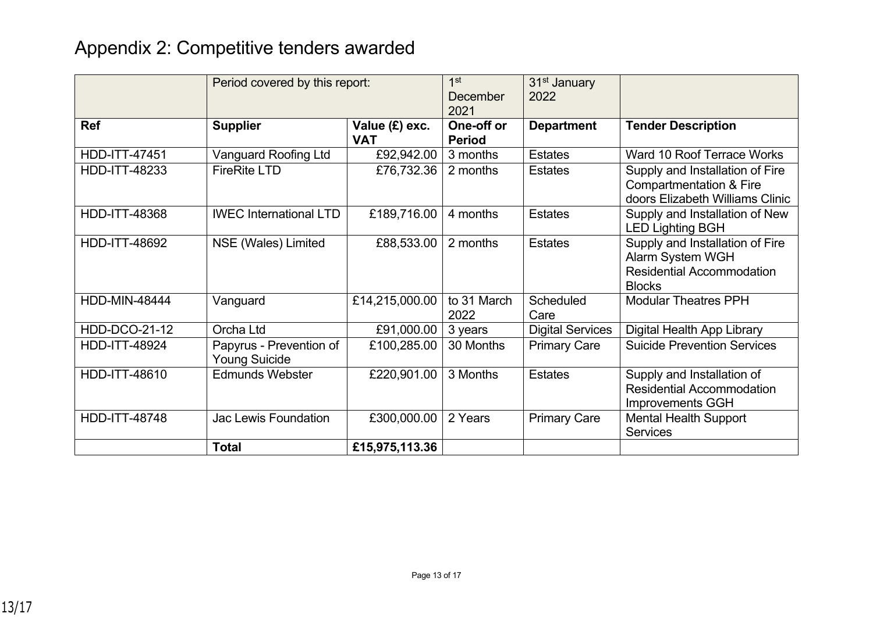# Appendix 2: Competitive tenders awarded

|                      | Period covered by this report:                  |                              | 1st<br>December<br>2021     | 31 <sup>st</sup> January<br>2022 |                                                                                                                 |
|----------------------|-------------------------------------------------|------------------------------|-----------------------------|----------------------------------|-----------------------------------------------------------------------------------------------------------------|
| <b>Ref</b>           | <b>Supplier</b>                                 | Value (£) exc.<br><b>VAT</b> | One-off or<br><b>Period</b> | <b>Department</b>                | <b>Tender Description</b>                                                                                       |
| <b>HDD-ITT-47451</b> | <b>Vanguard Roofing Ltd</b>                     | £92,942.00                   | 3 months                    | <b>Estates</b>                   | Ward 10 Roof Terrace Works                                                                                      |
| <b>HDD-ITT-48233</b> | <b>FireRite LTD</b>                             | £76,732.36                   | 2 months                    | <b>Estates</b>                   | Supply and Installation of Fire<br><b>Compartmentation &amp; Fire</b><br>doors Elizabeth Williams Clinic        |
| <b>HDD-ITT-48368</b> | <b>IWEC</b> International LTD                   | £189,716.00                  | 4 months                    | <b>Estates</b>                   | Supply and Installation of New<br><b>LED Lighting BGH</b>                                                       |
| <b>HDD-ITT-48692</b> | NSE (Wales) Limited                             | £88,533.00                   | 2 months                    | <b>Estates</b>                   | Supply and Installation of Fire<br><b>Alarm System WGH</b><br><b>Residential Accommodation</b><br><b>Blocks</b> |
| <b>HDD-MIN-48444</b> | Vanguard                                        | £14,215,000.00               | to 31 March<br>2022         | Scheduled<br>Care                | <b>Modular Theatres PPH</b>                                                                                     |
| <b>HDD-DCO-21-12</b> | Orcha Ltd                                       | £91,000.00                   | 3 years                     | <b>Digital Services</b>          | Digital Health App Library                                                                                      |
| <b>HDD-ITT-48924</b> | Papyrus - Prevention of<br><b>Young Suicide</b> | £100,285.00                  | 30 Months                   | <b>Primary Care</b>              | <b>Suicide Prevention Services</b>                                                                              |
| HDD-ITT-48610        | <b>Edmunds Webster</b>                          | £220,901.00                  | 3 Months                    | <b>Estates</b>                   | Supply and Installation of<br><b>Residential Accommodation</b><br><b>Improvements GGH</b>                       |
| <b>HDD-ITT-48748</b> | Jac Lewis Foundation                            | £300,000.00                  | 2 Years                     | <b>Primary Care</b>              | <b>Mental Health Support</b><br><b>Services</b>                                                                 |
|                      | <b>Total</b>                                    | £15,975,113.36               |                             |                                  |                                                                                                                 |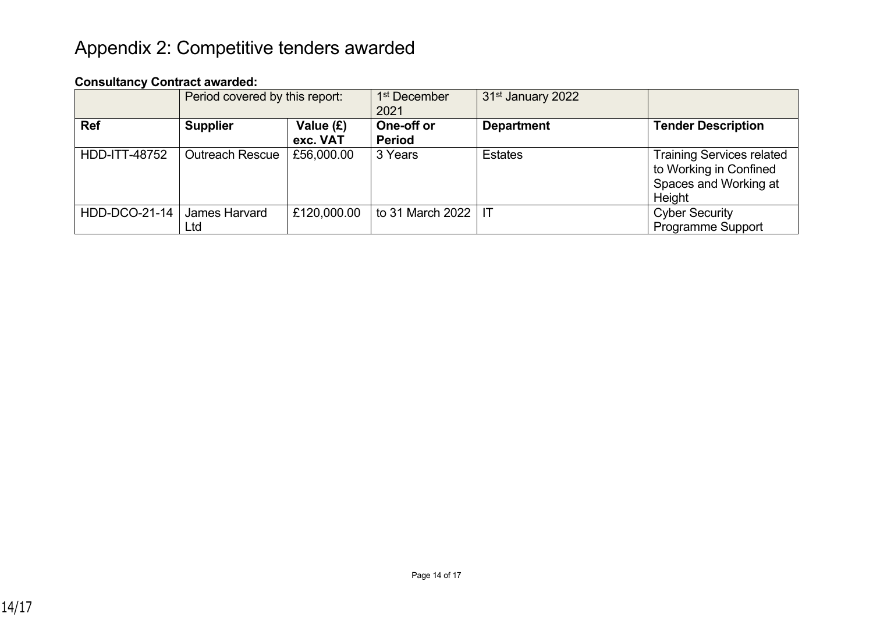# Appendix 2: Competitive tenders awarded

## **Consultancy Contract awarded:**

|                      | Period covered by this report: |                       | 1 <sup>st</sup> December<br>2021 | 31 <sup>st</sup> January 2022 |                                                                                               |
|----------------------|--------------------------------|-----------------------|----------------------------------|-------------------------------|-----------------------------------------------------------------------------------------------|
| <b>Ref</b>           | <b>Supplier</b>                | Value (£)<br>exc. VAT | One-off or<br><b>Period</b>      | <b>Department</b>             | <b>Tender Description</b>                                                                     |
| <b>HDD-ITT-48752</b> | <b>Outreach Rescue</b>         | £56,000.00            | 3 Years                          | <b>Estates</b>                | <b>Training Services related</b><br>to Working in Confined<br>Spaces and Working at<br>Height |
| HDD-DCO-21-14        | James Harvard<br>Ltd           | £120,000.00           | to 31 March 2022   IT            |                               | <b>Cyber Security</b><br><b>Programme Support</b>                                             |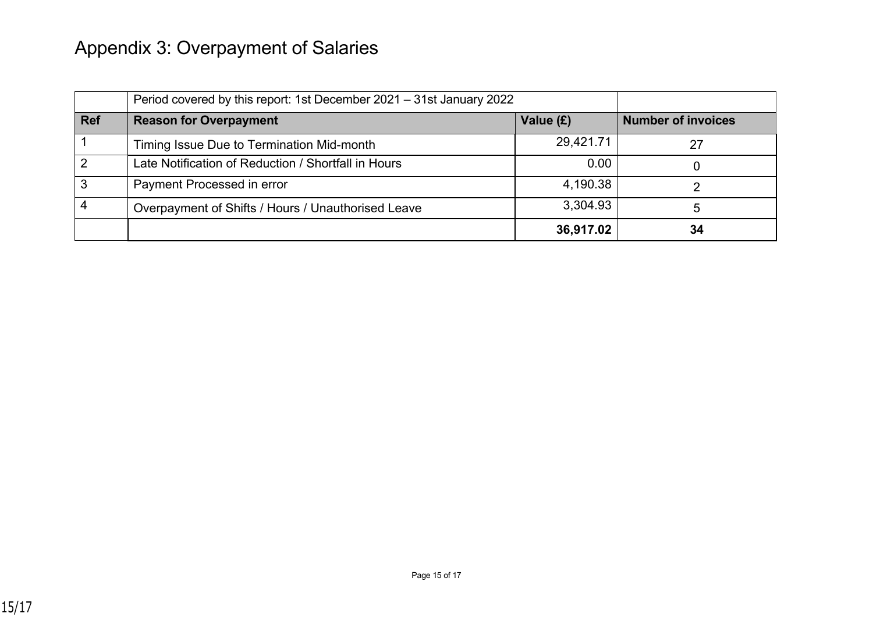# Appendix 3: Overpayment of Salaries

|            | Period covered by this report: 1st December 2021 – 31st January 2022 |           |                           |
|------------|----------------------------------------------------------------------|-----------|---------------------------|
| <b>Ref</b> | <b>Reason for Overpayment</b>                                        | Value (£) | <b>Number of invoices</b> |
|            | Timing Issue Due to Termination Mid-month                            | 29,421.71 | 27                        |
| າ          | Late Notification of Reduction / Shortfall in Hours                  | 0.00      |                           |
| 3          | Payment Processed in error                                           | 4,190.38  |                           |
|            | Overpayment of Shifts / Hours / Unauthorised Leave                   | 3,304.93  |                           |
|            |                                                                      | 36,917.02 | 34                        |